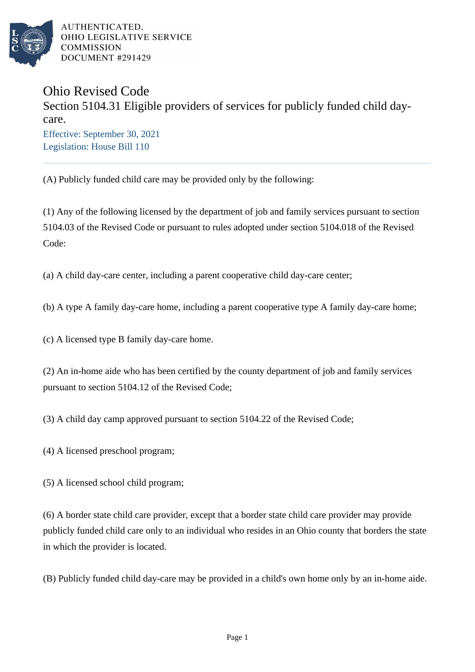

AUTHENTICATED. OHIO LEGISLATIVE SERVICE **COMMISSION** DOCUMENT #291429

## Ohio Revised Code Section 5104.31 Eligible providers of services for publicly funded child daycare. Effective: September 30, 2021 Legislation: House Bill 110

(A) Publicly funded child care may be provided only by the following:

(1) Any of the following licensed by the department of job and family services pursuant to section 5104.03 of the Revised Code or pursuant to rules adopted under section 5104.018 of the Revised Code:

(a) A child day-care center, including a parent cooperative child day-care center;

(b) A type A family day-care home, including a parent cooperative type A family day-care home;

(c) A licensed type B family day-care home.

(2) An in-home aide who has been certified by the county department of job and family services pursuant to section 5104.12 of the Revised Code;

(3) A child day camp approved pursuant to section 5104.22 of the Revised Code;

(4) A licensed preschool program;

(5) A licensed school child program;

(6) A border state child care provider, except that a border state child care provider may provide publicly funded child care only to an individual who resides in an Ohio county that borders the state in which the provider is located.

(B) Publicly funded child day-care may be provided in a child's own home only by an in-home aide.